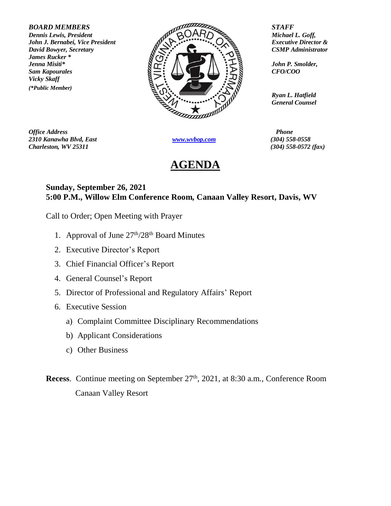*James Rucker \* Vicky Skaff (\*Public Member)*



*Office Address Phone 2310 Kanawha Blvd, East [www.wvbop.com](http://www.wvbop.com/) (304) 558-0558 Charleston, WV 25311 (304) 558-0572 (fax)*

## **AGENDA**

*Ryan L. Hatfield General Counsel*

## **Sunday, September 26, 2021 5:00 P.M., Willow Elm Conference Room, Canaan Valley Resort, Davis, WV**

Call to Order; Open Meeting with Prayer

- 1. Approval of June  $27<sup>th</sup>/28<sup>th</sup>$  Board Minutes
- 2. Executive Director's Report
- 3. Chief Financial Officer's Report
- 4. General Counsel's Report
- 5. Director of Professional and Regulatory Affairs' Report
- 6. Executive Session
	- a) Complaint Committee Disciplinary Recommendations
	- b) Applicant Considerations
	- c) Other Business
- Recess. Continue meeting on September 27<sup>th</sup>, 2021, at 8:30 a.m., Conference Room Canaan Valley Resort